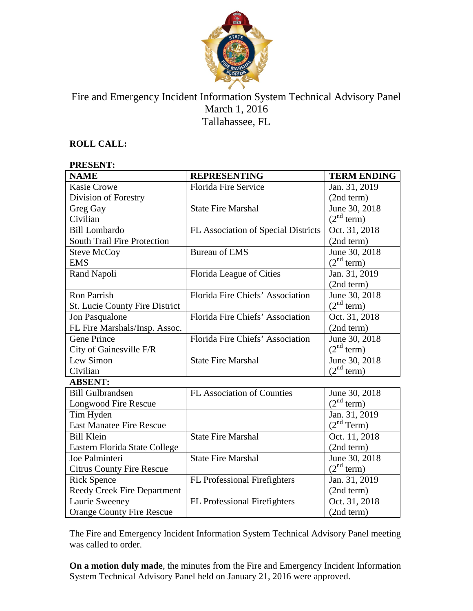

## Fire and Emergency Incident Information System Technical Advisory Panel March 1, 2016 Tallahassee, FL

#### **ROLL CALL:**

# **PRESENT:**

| <b>NAME</b>                      | <b>REPRESENTING</b>                 | <b>TERM ENDING</b>     |
|----------------------------------|-------------------------------------|------------------------|
| <b>Kasie Crowe</b>               | Florida Fire Service                | Jan. 31, 2019          |
| Division of Forestry             |                                     | (2nd term)             |
| Greg Gay                         | <b>State Fire Marshal</b>           | June 30, 2018          |
| Civilian                         |                                     | (2 <sup>nd</sup> term) |
| <b>Bill Lombardo</b>             | FL Association of Special Districts | Oct. 31, 2018          |
| South Trail Fire Protection      |                                     | (2nd term)             |
| <b>Steve McCoy</b>               | <b>Bureau of EMS</b>                | June 30, 2018          |
| <b>EMS</b>                       |                                     | (2 <sup>nd</sup> term) |
| Rand Napoli                      | Florida League of Cities            | Jan. 31, 2019          |
|                                  |                                     | (2nd term)             |
| Ron Parrish                      | Florida Fire Chiefs' Association    | June 30, 2018          |
| St. Lucie County Fire District   |                                     | (2 <sup>nd</sup> term) |
| Jon Pasqualone                   | Florida Fire Chiefs' Association    | Oct. 31, 2018          |
| FL Fire Marshals/Insp. Assoc.    |                                     | (2nd term)             |
| <b>Gene Prince</b>               | Florida Fire Chiefs' Association    | June 30, 2018          |
| City of Gainesville F/R          |                                     | (2 <sup>nd</sup> term) |
| Lew Simon                        | <b>State Fire Marshal</b>           | June 30, 2018          |
| Civilian                         |                                     | (2 <sup>nd</sup> term) |
| <b>ABSENT:</b>                   |                                     |                        |
| <b>Bill Gulbrandsen</b>          | FL Association of Counties          | June 30, 2018          |
| <b>Longwood Fire Rescue</b>      |                                     | (2 <sup>nd</sup> term) |
| Tim Hyden                        |                                     | Jan. 31, 2019          |
| <b>East Manatee Fire Rescue</b>  |                                     | (2 <sup>nd</sup> Term) |
| <b>Bill Klein</b>                | <b>State Fire Marshal</b>           | Oct. 11, 2018          |
| Eastern Florida State College    |                                     | (2nd term)             |
| Joe Palminteri                   | <b>State Fire Marshal</b>           | June 30, 2018          |
| <b>Citrus County Fire Rescue</b> |                                     | (2 <sup>nd</sup> term) |
| <b>Rick Spence</b>               | FL Professional Firefighters        | Jan. 31, 2019          |
| Reedy Creek Fire Department      |                                     | (2nd term)             |
| Laurie Sweeney                   | FL Professional Firefighters        | Oct. 31, 2018          |
| <b>Orange County Fire Rescue</b> |                                     | (2nd term)             |

The Fire and Emergency Incident Information System Technical Advisory Panel meeting was called to order.

**On a motion duly made**, the minutes from the Fire and Emergency Incident Information System Technical Advisory Panel held on January 21, 2016 were approved.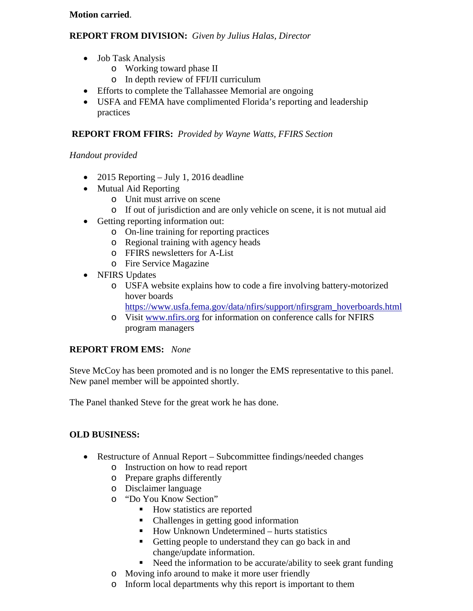#### **Motion carried**.

#### **REPORT FROM DIVISION:** *Given by Julius Halas, Director*

- Job Task Analysis
	- o Working toward phase II
	- o In depth review of FFI/II curriculum
- Efforts to complete the Tallahassee Memorial are ongoing
- USFA and FEMA have complimented Florida's reporting and leadership practices

### **REPORT FROM FFIRS:** *Provided by Wayne Watts, FFIRS Section*

#### *Handout provided*

- 2015 Reporting July 1, 2016 deadline
- Mutual Aid Reporting
	- o Unit must arrive on scene
	- o If out of jurisdiction and are only vehicle on scene, it is not mutual aid
- Getting reporting information out:
	- o On-line training for reporting practices
	- o Regional training with agency heads
	- o FFIRS newsletters for A-List
	- o Fire Service Magazine
- NFIRS Updates
	- o USFA website explains how to code a fire involving battery-motorized hover boards
		- [https://www.usfa.fema.gov/data/nfirs/support/nfirsgram\\_hoverboards.html](https://www.usfa.fema.gov/data/nfirs/support/nfirsgram_hoverboards.html)
	- o Visit [www.nfirs.org](http://www.nfirs.org/) for information on conference calls for NFIRS program managers

#### **REPORT FROM EMS:** *None*

Steve McCoy has been promoted and is no longer the EMS representative to this panel. New panel member will be appointed shortly.

The Panel thanked Steve for the great work he has done.

## **OLD BUSINESS:**

- Restructure of Annual Report Subcommittee findings/needed changes
	- o Instruction on how to read report
	- o Prepare graphs differently
	- o Disclaimer language
	- o "Do You Know Section"
		- How statistics are reported
		- Challenges in getting good information
		- $\blacksquare$  How Unknown Undetermined hurts statistics
		- Getting people to understand they can go back in and change/update information.
		- Need the information to be accurate/ability to seek grant funding
	- o Moving info around to make it more user friendly
	- o Inform local departments why this report is important to them